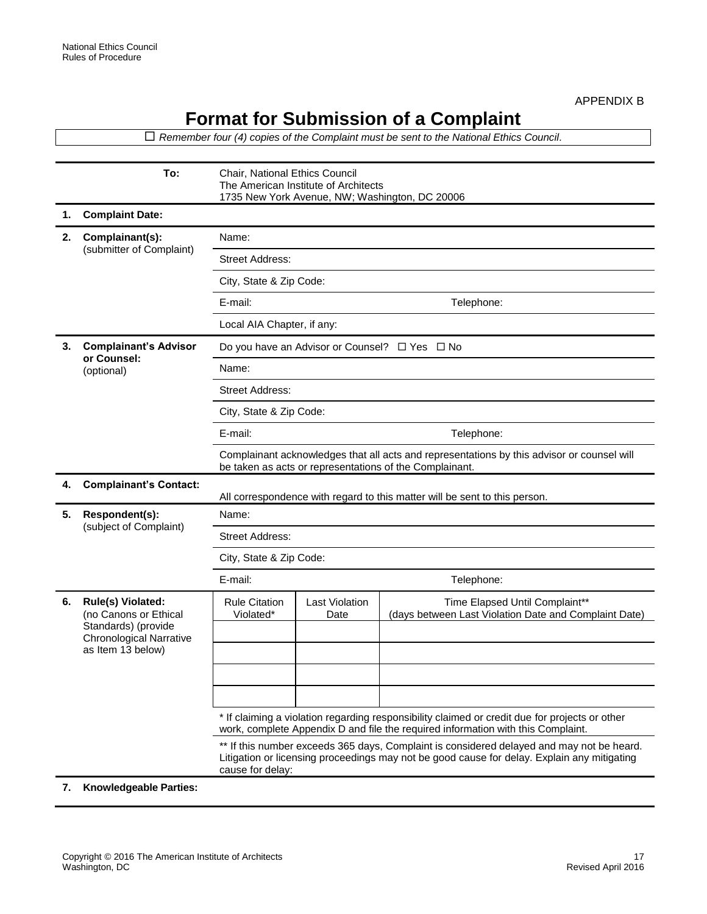## **Format for Submission of a Complaint**

 *Remember four (4) copies of the Complaint must be sent to the National Ethics Council.*  **To:** Chair, National Ethics Council The American Institute of Architects 1735 New York Avenue, NW; Washington, DC 20006 **1. Complaint Date: 2. Complainant(s):** (submitter of Complaint) Name: Street Address: City, State & Zip Code: E-mail: Telephone: Local AIA Chapter, if any: **3. Complainant's Advisor or Counsel:** (optional) Do you have an Advisor or Counsel?  $\Box$  Yes  $\Box$  No Name: Street Address: City, State & Zip Code: E-mail: Telephone: Complainant acknowledges that all acts and representations by this advisor or counsel will be taken as acts or representations of the Complainant. **4. Complainant's Contact:**  All correspondence with regard to this matter will be sent to this person. **5. Respondent(s):** (subject of Complaint) Name: Street Address: City, State & Zip Code: E-mail: Telephone: **6. Rule(s) Violated:** (no Canons or Ethical Standards) (provide Chronological Narrative as Item 13 below) Rule Citation Violated\* Last Violation Date Time Elapsed Until Complaint\*\* (days between Last Violation Date and Complaint Date) \* If claiming a violation regarding responsibility claimed or credit due for projects or other work, complete Appendix D and file the required information with this Complaint. \*\* If this number exceeds 365 days, Complaint is considered delayed and may not be heard. Litigation or licensing proceedings may not be good cause for delay. Explain any mitigating cause for delay:

**7. Knowledgeable Parties:**